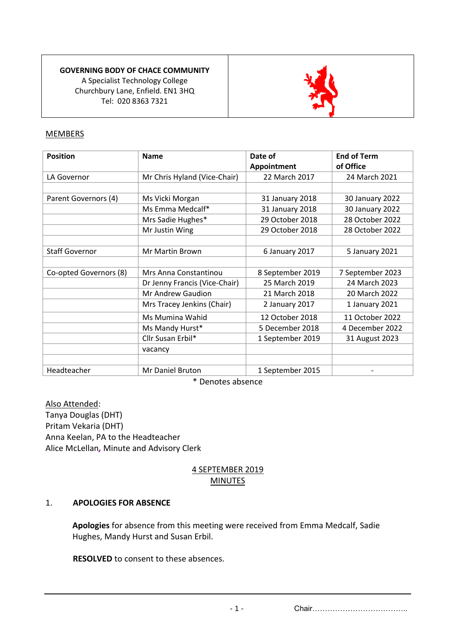**GOVERNING BODY OF CHACE COMMUNITY**  A Specialist Technology College Churchbury Lane, Enfield. EN1 3HQ Tel: 020 8363 7321



## MEMBERS

| <b>Position</b>        | <b>Name</b>                   | Date of<br>Appointment | <b>End of Term</b><br>of Office |
|------------------------|-------------------------------|------------------------|---------------------------------|
| LA Governor            | Mr Chris Hyland (Vice-Chair)  | 22 March 2017          | 24 March 2021                   |
|                        |                               |                        |                                 |
| Parent Governors (4)   | Ms Vicki Morgan               | 31 January 2018        | 30 January 2022                 |
|                        | Ms Emma Medcalf*              | 31 January 2018        | 30 January 2022                 |
|                        | Mrs Sadie Hughes*             | 29 October 2018        | 28 October 2022                 |
|                        | Mr Justin Wing                | 29 October 2018        | 28 October 2022                 |
|                        |                               |                        |                                 |
| <b>Staff Governor</b>  | <b>Mr Martin Brown</b>        | 6 January 2017         | 5 January 2021                  |
|                        |                               |                        |                                 |
| Co-opted Governors (8) | Mrs Anna Constantinou         | 8 September 2019       | 7 September 2023                |
|                        | Dr Jenny Francis (Vice-Chair) | 25 March 2019          | 24 March 2023                   |
|                        | Mr Andrew Gaudion             | 21 March 2018          | 20 March 2022                   |
|                        | Mrs Tracey Jenkins (Chair)    | 2 January 2017         | 1 January 2021                  |
|                        | Ms Mumina Wahid               | 12 October 2018        | 11 October 2022                 |
|                        | Ms Mandy Hurst*               | 5 December 2018        | 4 December 2022                 |
|                        | Cllr Susan Erbil*             | 1 September 2019       | 31 August 2023                  |
|                        | vacancy                       |                        |                                 |
|                        |                               |                        |                                 |
| Headteacher            | Mr Daniel Bruton              | 1 September 2015       |                                 |

\* Denotes absence

Also Attended: Tanya Douglas (DHT) Pritam Vekaria (DHT) Anna Keelan, PA to the Headteacher Alice McLellan*,* Minute and Advisory Clerk

## 4 SEPTEMBER 2019 **MINUTES**

## 1. **APOLOGIES FOR ABSENCE**

**Apologies** for absence from this meeting were received from Emma Medcalf, Sadie Hughes, Mandy Hurst and Susan Erbil.

**RESOLVED** to consent to these absences.

- 1 - Chair………………………………..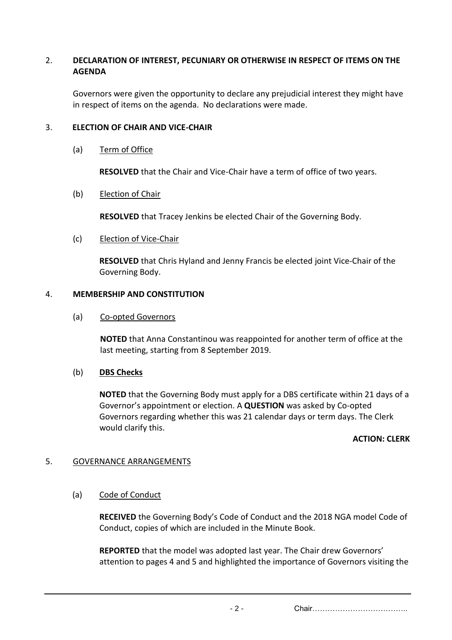# 2. **DECLARATION OF INTEREST, PECUNIARY OR OTHERWISE IN RESPECT OF ITEMS ON THE AGENDA**

Governors were given the opportunity to declare any prejudicial interest they might have in respect of items on the agenda. No declarations were made.

#### 3. **ELECTION OF CHAIR AND VICE-CHAIR**

#### (a) Term of Office

**RESOLVED** that the Chair and Vice-Chair have a term of office of two years.

#### (b) Election of Chair

**RESOLVED** that Tracey Jenkins be elected Chair of the Governing Body.

#### (c) Election of Vice-Chair

**RESOLVED** that Chris Hyland and Jenny Francis be elected joint Vice-Chair of the Governing Body.

#### 4. **MEMBERSHIP AND CONSTITUTION**

#### (a) Co-opted Governors

**NOTED** that Anna Constantinou was reappointed for another term of office at the last meeting, starting from 8 September 2019.

## (b) **DBS Checks**

**NOTED** that the Governing Body must apply for a DBS certificate within 21 days of a Governor's appointment or election. A **QUESTION** was asked by Co-opted Governors regarding whether this was 21 calendar days or term days. The Clerk would clarify this.

#### **ACTION: CLERK**

## 5. GOVERNANCE ARRANGEMENTS

#### (a) Code of Conduct

**RECEIVED** the Governing Body's Code of Conduct and the 2018 NGA model Code of Conduct, copies of which are included in the Minute Book.

**REPORTED** that the model was adopted last year. The Chair drew Governors' attention to pages 4 and 5 and highlighted the importance of Governors visiting the

- 2 - Chair………………………………..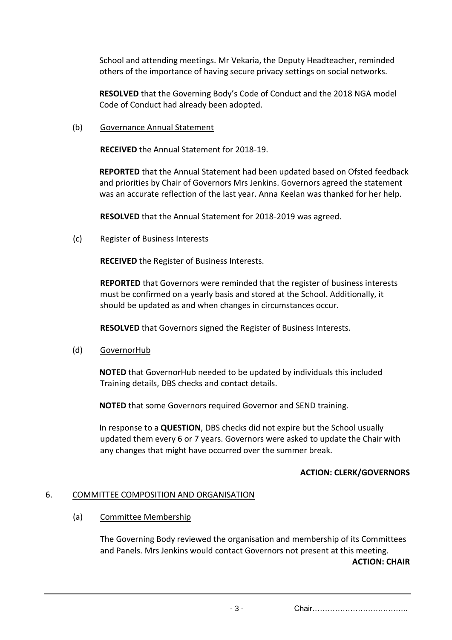School and attending meetings. Mr Vekaria, the Deputy Headteacher, reminded others of the importance of having secure privacy settings on social networks.

**RESOLVED** that the Governing Body's Code of Conduct and the 2018 NGA model Code of Conduct had already been adopted.

(b) Governance Annual Statement

**RECEIVED** the Annual Statement for 2018-19.

**REPORTED** that the Annual Statement had been updated based on Ofsted feedback and priorities by Chair of Governors Mrs Jenkins. Governors agreed the statement was an accurate reflection of the last year. Anna Keelan was thanked for her help.

**RESOLVED** that the Annual Statement for 2018-2019 was agreed.

(c) Register of Business Interests

**RECEIVED** the Register of Business Interests.

**REPORTED** that Governors were reminded that the register of business interests must be confirmed on a yearly basis and stored at the School. Additionally, it should be updated as and when changes in circumstances occur.

**RESOLVED** that Governors signed the Register of Business Interests.

(d) GovernorHub

**NOTED** that GovernorHub needed to be updated by individuals this included Training details, DBS checks and contact details.

**NOTED** that some Governors required Governor and SEND training.

In response to a **QUESTION**, DBS checks did not expire but the School usually updated them every 6 or 7 years. Governors were asked to update the Chair with any changes that might have occurred over the summer break.

## **ACTION: CLERK/GOVERNORS**

## 6. COMMITTEE COMPOSITION AND ORGANISATION

## (a) Committee Membership

The Governing Body reviewed the organisation and membership of its Committees and Panels. Mrs Jenkins would contact Governors not present at this meeting. **ACTION: CHAIR**

- 3 - Chair………………………………..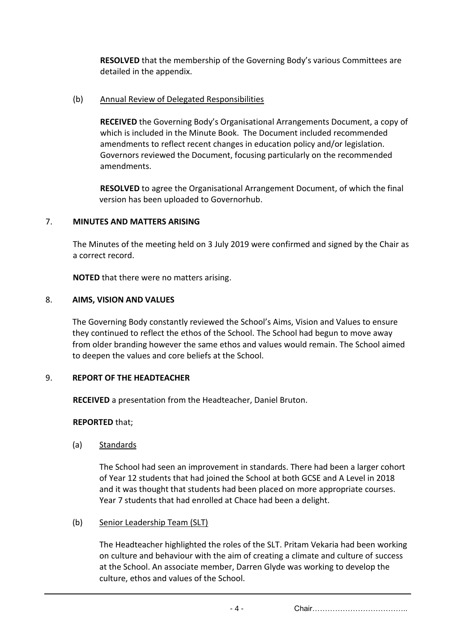**RESOLVED** that the membership of the Governing Body's various Committees are detailed in the appendix.

## (b) Annual Review of Delegated Responsibilities

**RECEIVED** the Governing Body's Organisational Arrangements Document, a copy of which is included in the Minute Book. The Document included recommended amendments to reflect recent changes in education policy and/or legislation. Governors reviewed the Document, focusing particularly on the recommended amendments.

**RESOLVED** to agree the Organisational Arrangement Document, of which the final version has been uploaded to Governorhub.

# 7. **MINUTES AND MATTERS ARISING**

The Minutes of the meeting held on 3 July 2019 were confirmed and signed by the Chair as a correct record.

**NOTED** that there were no matters arising.

## 8. **AIMS, VISION AND VALUES**

The Governing Body constantly reviewed the School's Aims, Vision and Values to ensure they continued to reflect the ethos of the School. The School had begun to move away from older branding however the same ethos and values would remain. The School aimed to deepen the values and core beliefs at the School.

## 9. **REPORT OF THE HEADTEACHER**

**RECEIVED** a presentation from the Headteacher, Daniel Bruton.

# **REPORTED** that;

(a) Standards

The School had seen an improvement in standards. There had been a larger cohort of Year 12 students that had joined the School at both GCSE and A Level in 2018 and it was thought that students had been placed on more appropriate courses. Year 7 students that had enrolled at Chace had been a delight.

## (b) Senior Leadership Team (SLT)

The Headteacher highlighted the roles of the SLT. Pritam Vekaria had been working on culture and behaviour with the aim of creating a climate and culture of success at the School. An associate member, Darren Glyde was working to develop the culture, ethos and values of the School.

- 4 - Chair………………………………..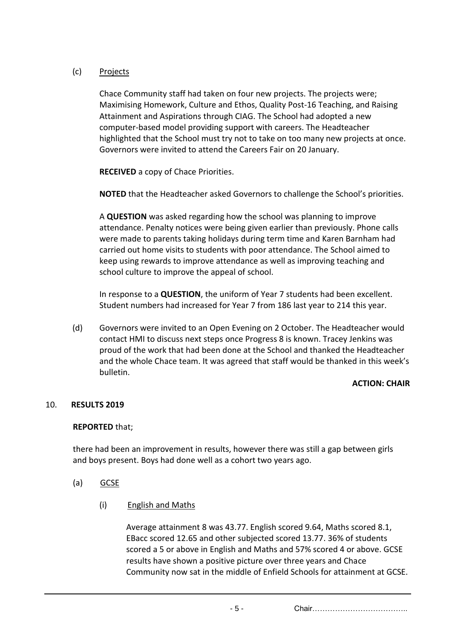# (c) Projects

Chace Community staff had taken on four new projects. The projects were; Maximising Homework, Culture and Ethos, Quality Post-16 Teaching, and Raising Attainment and Aspirations through CIAG. The School had adopted a new computer-based model providing support with careers. The Headteacher highlighted that the School must try not to take on too many new projects at once. Governors were invited to attend the Careers Fair on 20 January.

**RECEIVED** a copy of Chace Priorities.

**NOTED** that the Headteacher asked Governors to challenge the School's priorities.

A **QUESTION** was asked regarding how the school was planning to improve attendance. Penalty notices were being given earlier than previously. Phone calls were made to parents taking holidays during term time and Karen Barnham had carried out home visits to students with poor attendance. The School aimed to keep using rewards to improve attendance as well as improving teaching and school culture to improve the appeal of school.

In response to a **QUESTION**, the uniform of Year 7 students had been excellent. Student numbers had increased for Year 7 from 186 last year to 214 this year.

(d) Governors were invited to an Open Evening on 2 October. The Headteacher would contact HMI to discuss next steps once Progress 8 is known. Tracey Jenkins was proud of the work that had been done at the School and thanked the Headteacher and the whole Chace team. It was agreed that staff would be thanked in this week's bulletin.

## **ACTION: CHAIR**

## 10. **RESULTS 2019**

## **REPORTED** that;

there had been an improvement in results, however there was still a gap between girls and boys present. Boys had done well as a cohort two years ago.

- (a) GCSE
	- (i) English and Maths

Average attainment 8 was 43.77. English scored 9.64, Maths scored 8.1, EBacc scored 12.65 and other subjected scored 13.77. 36% of students scored a 5 or above in English and Maths and 57% scored 4 or above. GCSE results have shown a positive picture over three years and Chace Community now sat in the middle of Enfield Schools for attainment at GCSE.

- 5 - Chair………………………………..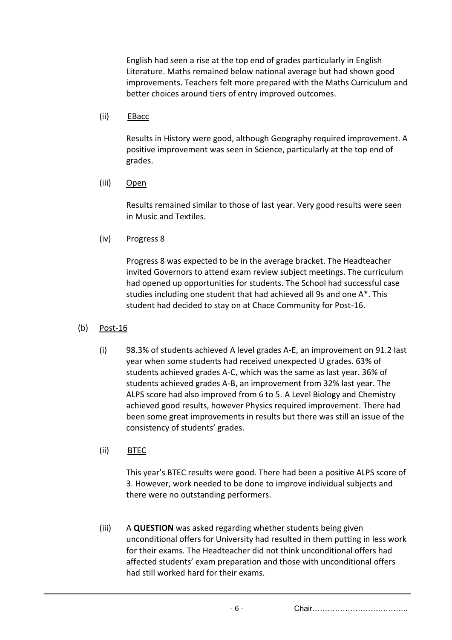English had seen a rise at the top end of grades particularly in English Literature. Maths remained below national average but had shown good improvements. Teachers felt more prepared with the Maths Curriculum and better choices around tiers of entry improved outcomes.

#### (ii) EBacc

Results in History were good, although Geography required improvement. A positive improvement was seen in Science, particularly at the top end of grades.

#### (iii) Open

Results remained similar to those of last year. Very good results were seen in Music and Textiles.

(iv) Progress 8

Progress 8 was expected to be in the average bracket. The Headteacher invited Governors to attend exam review subject meetings. The curriculum had opened up opportunities for students. The School had successful case studies including one student that had achieved all 9s and one A\*. This student had decided to stay on at Chace Community for Post-16.

- (b) Post-16
	- (i) 98.3% of students achieved A level grades A-E, an improvement on 91.2 last year when some students had received unexpected U grades. 63% of students achieved grades A-C, which was the same as last year. 36% of students achieved grades A-B, an improvement from 32% last year. The ALPS score had also improved from 6 to 5. A Level Biology and Chemistry achieved good results, however Physics required improvement. There had been some great improvements in results but there was still an issue of the consistency of students' grades.
	- (ii) BTEC

This year's BTEC results were good. There had been a positive ALPS score of 3. However, work needed to be done to improve individual subjects and there were no outstanding performers.

(iii) A **QUESTION** was asked regarding whether students being given unconditional offers for University had resulted in them putting in less work for their exams. The Headteacher did not think unconditional offers had affected students' exam preparation and those with unconditional offers had still worked hard for their exams.

- 6 - Chair………………………………..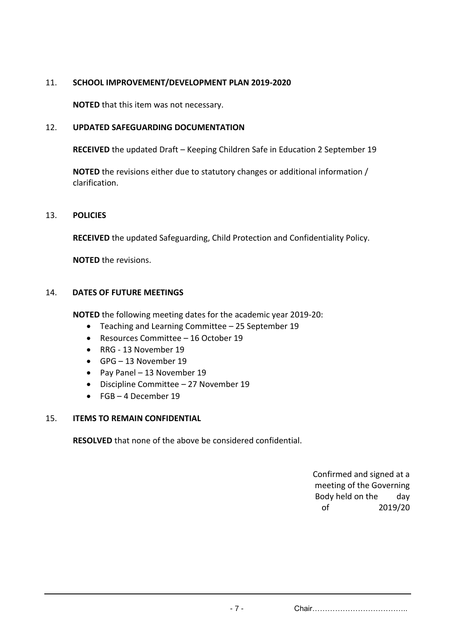# 11. **SCHOOL IMPROVEMENT/DEVELOPMENT PLAN 2019-2020**

**NOTED** that this item was not necessary.

# 12. **UPDATED SAFEGUARDING DOCUMENTATION**

**RECEIVED** the updated Draft – Keeping Children Safe in Education 2 September 19

**NOTED** the revisions either due to statutory changes or additional information / clarification.

## 13. **POLICIES**

**RECEIVED** the updated Safeguarding, Child Protection and Confidentiality Policy.

**NOTED** the revisions.

#### 14. **DATES OF FUTURE MEETINGS**

**NOTED** the following meeting dates for the academic year 2019-20:

- Teaching and Learning Committee 25 September 19
- Resources Committee 16 October 19
- RRG 13 November 19
- GPG 13 November 19
- Pay Panel 13 November 19
- Discipline Committee 27 November 19
- FGB 4 December 19

## 15. **ITEMS TO REMAIN CONFIDENTIAL**

**RESOLVED** that none of the above be considered confidential.

Confirmed and signed at a meeting of the Governing Body held on the day of 2019/20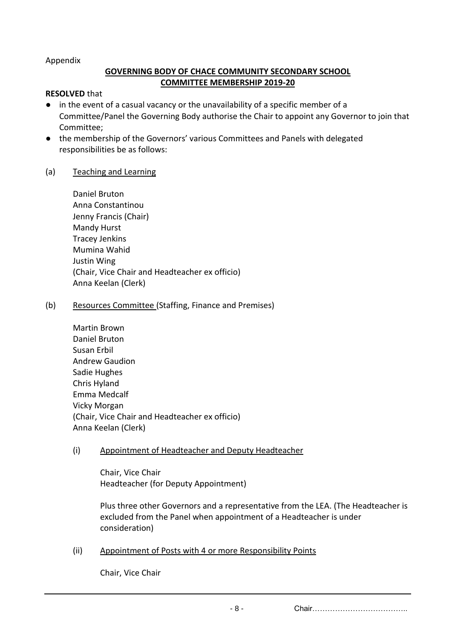#### Appendix

# **GOVERNING BODY OF CHACE COMMUNITY SECONDARY SCHOOL COMMITTEE MEMBERSHIP 2019-20**

#### **RESOLVED** that

- in the event of a casual vacancy or the unavailability of a specific member of a Committee/Panel the Governing Body authorise the Chair to appoint any Governor to join that Committee;
- the membership of the Governors' various Committees and Panels with delegated responsibilities be as follows:

## (a) Teaching and Learning

| Daniel Bruton                                  |
|------------------------------------------------|
| Anna Constantinou                              |
| Jenny Francis (Chair)                          |
| <b>Mandy Hurst</b>                             |
| <b>Tracey Jenkins</b>                          |
| Mumina Wahid                                   |
| Justin Wing                                    |
| (Chair, Vice Chair and Headteacher ex officio) |
| Anna Keelan (Clerk)                            |

#### (b) Resources Committee (Staffing, Finance and Premises)

| Martin Brown                                   |
|------------------------------------------------|
| Daniel Bruton                                  |
| Susan Erbil                                    |
| <b>Andrew Gaudion</b>                          |
| Sadie Hughes                                   |
| Chris Hyland                                   |
| Emma Medcalf                                   |
| Vicky Morgan                                   |
| (Chair, Vice Chair and Headteacher ex officio) |
| Anna Keelan (Clerk)                            |

## (i) Appointment of Headteacher and Deputy Headteacher

Chair, Vice Chair Headteacher (for Deputy Appointment)

Plus three other Governors and a representative from the LEA. (The Headteacher is excluded from the Panel when appointment of a Headteacher is under consideration)

## (ii) Appointment of Posts with 4 or more Responsibility Points

Chair, Vice Chair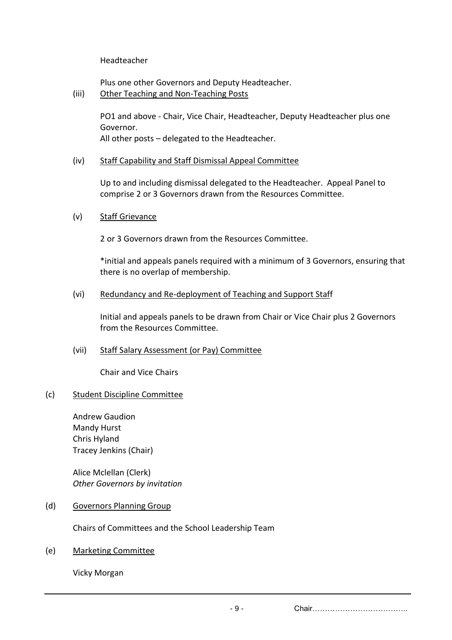Headteacher

Plus one other Governors and Deputy Headteacher.

(iii) Other Teaching and Non-Teaching Posts

PO1 and above - Chair, Vice Chair, Headteacher, Deputy Headteacher plus one Governor. All other posts – delegated to the Headteacher.

(iv) Staff Capability and Staff Dismissal Appeal Committee

Up to and including dismissal delegated to the Headteacher. Appeal Panel to comprise 2 or 3 Governors drawn from the Resources Committee.

(v) Staff Grievance

2 or 3 Governors drawn from the Resources Committee.

\*initial and appeals panels required with a minimum of 3 Governors, ensuring that there is no overlap of membership.

#### (vi) Redundancy and Re-deployment of Teaching and Support Staff

Initial and appeals panels to be drawn from Chair or Vice Chair plus 2 Governors from the Resources Committee.

(vii) Staff Salary Assessment (or Pay) Committee

Chair and Vice Chairs

## (c) Student Discipline Committee

Andrew Gaudion Mandy Hurst Chris Hyland Tracey Jenkins (Chair)

Alice Mclellan (Clerk) *Other Governors by invitation*

(d) Governors Planning Group

Chairs of Committees and the School Leadership Team

(e) Marketing Committee

Vicky Morgan